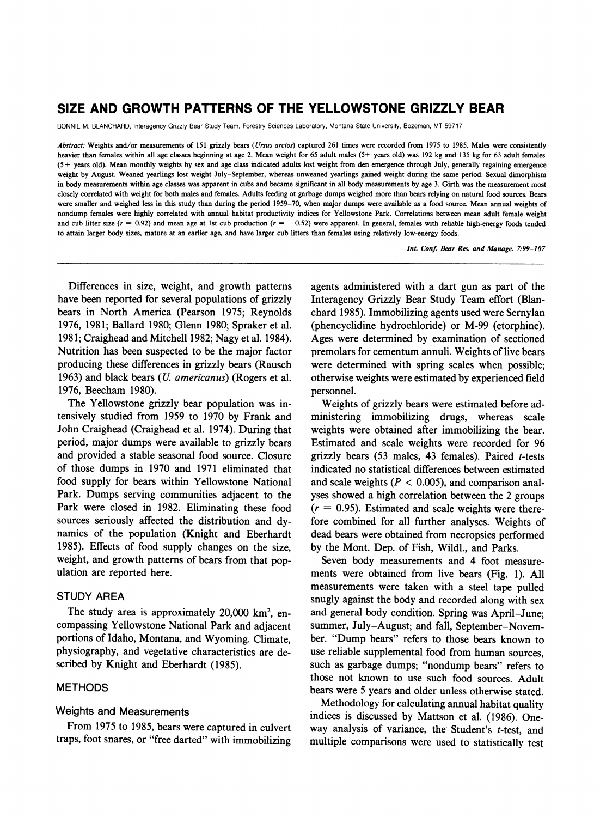# **SIZE AND GROWTH PATTERNS OF THE YELLOWSTONE GRIZZLY BEAR**

**BONNIE M. BLANCHARD, Interagency Grizzly Bear Study Team, Forestry Sciences Laboratory, Montana State University, Bozeman, MT 59717** 

**Abstract: Weights and/or measurements of 151 grizzly bears (Ursus arctos) captured 261 times were recorded from 1975 to 1985. Males were consistently heavier than females within all age classes beginning at age 2. Mean weight for 65 adult males (5+ years old) was 192 kg and 135 kg for 63 adult females (5 + years old). Mean monthly weights by sex and age class indicated adults lost weight from den emergence through July, generally regaining emergence weight by August. Weaned yearlings lost weight July-September, whereas unweaned yearlings gained weight during the same period. Sexual dimorphism in body measurements within age classes was apparent in cubs and became significant in all body measurements by age 3. Girth was the measurement most closely correlated with weight for both males and females. Adults feeding at garbage dumps weighed more than bears relying on natural food sources. Bears were smaller and weighed less in this study than during the period 1959-70, when major dumps were available as a food source. Mean annual weights of nondump females were highly correlated with annual habitat productivity indices for Yellowstone Park. Correlations between mean adult female weight**  and cub litter size ( $r = 0.92$ ) and mean age at 1st cub production ( $r = -0.52$ ) were apparent. In general, females with reliable high-energy foods tended **to attain larger body sizes, mature at an earlier age, and have larger cub litters than females using relatively low-energy foods.** 

**Int. Conf. Bear Res. and Manage. 7:99-107** 

**Differences in size, weight, and growth patterns have been reported for several populations of grizzly bears in North America (Pearson 1975; Reynolds 1976, 1981; Ballard 1980; Glenn 1980; Spraker et al. 1981; Craighead and Mitchell 1982; Nagy et al. 1984). Nutrition has been suspected to be the major factor producing these differences in grizzly bears (Rausch 1963) and black bears (U. americanus) (Rogers et al. 1976, Beecham 1980).** 

**The Yellowstone grizzly bear population was intensively studied from 1959 to 1970 by Frank and John Craighead (Craighead et al. 1974). During that period, major dumps were available to grizzly bears and provided a stable seasonal food source. Closure of those dumps in 1970 and 1971 eliminated that food supply for bears within Yellowstone National Park. Dumps serving communities adjacent to the Park were closed in 1982. Eliminating these food sources seriously affected the distribution and dynamics of the population (Knight and Eberhardt 1985). Effects of food supply changes on the size, weight, and growth patterns of bears from that population are reported here.** 

# **STUDY AREA**

The study area is approximately 20,000 km<sup>2</sup>, en**compassing Yellowstone National Park and adjacent portions of Idaho, Montana, and Wyoming. Climate, physiography, and vegetative characteristics are described by Knight and Eberhardt (1985).** 

# **METHODS**

### **Weights and Measurements**

**From 1975 to 1985, bears were captured in culvert traps, foot snares, or "free darted" with immobilizing** 

**agents administered with a dart gun as part of the Interagency Grizzly Bear Study Team effort (Blanchard 1985). Immobilizing agents used were Sernylan (phencyclidine hydrochloride) or M-99 (etorphine). Ages were determined by examination of sectioned premolars for cementum annuli. Weights of live bears were determined with spring scales when possible; otherwise weights were estimated by experienced field personnel.** 

**Weights of grizzly bears were estimated before administering immobilizing drugs, whereas scale weights were obtained after immobilizing the bear. Estimated and scale weights were recorded for 96 grizzly bears (53 males, 43 females). Paired t-tests indicated no statistical differences between estimated and scale weights (P < 0.005), and comparison analyses showed a high correlation between the 2 groups (r = 0.95). Estimated and scale weights were therefore combined for all further analyses. Weights of dead bears were obtained from necropsies performed by the Mont. Dep. of Fish, Wildl., and Parks.** 

**Seven body measurements and 4 foot measurements were obtained from live bears (Fig. 1). All measurements were taken with a steel tape pulled snugly against the body and recorded along with sex and general body condition. Spring was April-June; summer, July-August; and fall, September-November. "Dump bears" refers to those bears known to use reliable supplemental food from human sources, such as garbage dumps; "nondump bears" refers to those not known to use such food sources. Adult bears were 5 years and older unless otherwise stated.** 

**Methodology for calculating annual habitat quality indices is discussed by Mattson et al. (1986). Oneway analysis of variance, the Student's t-test, and multiple comparisons were used to statistically test**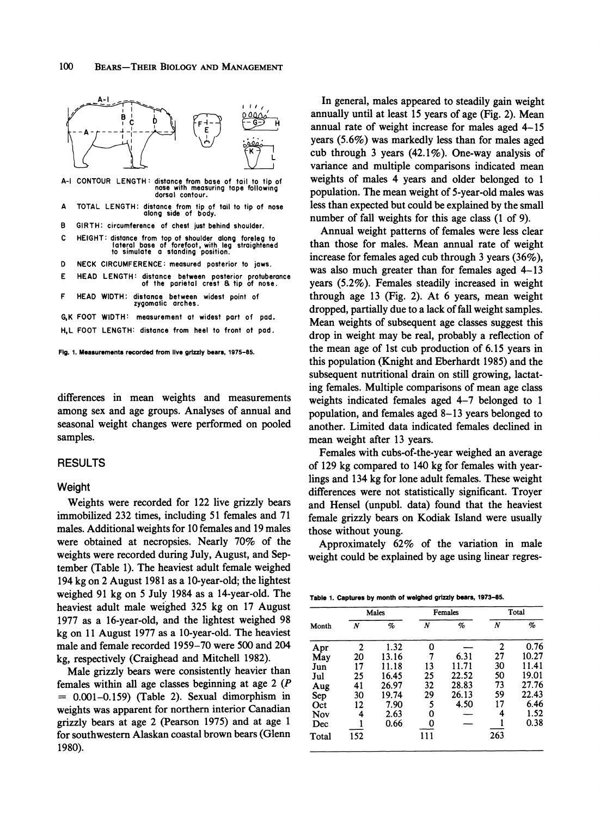

**A-I CONTOUR LENGTH: distance from base of tail to tip of nose with measuring tape following dorsal contour.** 

- **A TOTAL LENGTH: distance from tip of tail to tip of nose along side of body.**
- **B GIRTH: circumference of chesi just behind shoulder.**
- **C HEIGHT: distance from top of shoulder along foreleg to lateral base of forefoot, with leg straightened to simulate a standing position.**
- **D NECK CIRCUMFERENCE: measured posterior to jaws.**
- **E HEAD LENGTH: distance between posterior protuberance of the parietal crest a tip of nose.**
- **F HEAD WIDTH: distance between widest point of zygomalic arches.**

**G,K FOOT WIDTH: measurement at widest part of pad. H,L FOOT LENGTH: distance from heel to front ot pad.** 

**Fig. 1. Measurements recorded from live grizzly bears, 1975-85.** 

**differences in mean weights and measurements among sex and age groups. Analyses of annual and seasonal weight changes were performed on pooled samples.** 

#### **RESULTS**

### **Weight**

**Weights were recorded for 122 live grizzly bears immobilized 232 times, including 51 females and 71 males. Additional weights for 10 females and 19 males were obtained at necropsies. Nearly 70% of the weights were recorded during July, August, and September (Table 1). The heaviest adult female weighed 194 kg on 2 August 1981 as a 10-year-old; the lightest weighed 91 kg on 5 July 1984 as a 14-year-old. The heaviest adult male weighed 325 kg on 17 August 1977 as a 16-year-old, and the lightest weighed 98 kg on 11 August 1977 as a 10-year-old. The heaviest male and female recorded 1959-70 were 500 and 204 kg, respectively (Craighead and Mitchell 1982).** 

**Male grizzly bears were consistently heavier than females within all age classes beginning at age 2 (P = 0.001-0.159) (Table 2). Sexual dimorphism in weights was apparent for northern interior Canadian grizzly bears at age 2 (Pearson 1975) and at age 1 for southwestern Alaskan coastal brown bears (Glenn 1980).** 

**In general, males appeared to steadily gain weight annually until at least 15 years of age (Fig. 2). Mean annual rate of weight increase for males aged 4-15 years (5.6%) was markedly less than for males aged cub through 3 years (42.1%). One-way analysis of variance and multiple comparisons indicated mean weights of males 4 years and older belonged to 1 population. The mean weight of 5-year-old males was less than expected but could be explained by the small number of fall weights for this age class (1 of 9).** 

**Annual weight patterns of females were less clear than those for males. Mean annual rate of weight increase for females aged cub through 3 years (36%), was also much greater than for females aged 4-13 years (5.2%). Females steadily increased in weight through age 13 (Fig. 2). At 6 years, mean weight dropped, partially due to a lack of fall weight samples. Mean weights of subsequent age classes suggest this drop in weight may be real, probably a reflection of the mean age of 1st cub production of 6.15 years in this population (Knight and Eberhardt 1985) and the subsequent nutritional drain on still growing, lactating females. Multiple comparisons of mean age class weights indicated females aged 4-7 belonged to 1 population, and females aged 8-13 years belonged to another. Limited data indicated females declined in mean weight after 13 years.** 

**Females with cubs-of-the-year weighed an average of 129 kg compared to 140 kg for females with yearlings and 134 kg for lone adult females. These weight differences were not statistically significant. Troyer and Hensel (unpubl. data) found that the heaviest female grizzly bears on Kodiak Island were usually those without young.** 

**Approximately 62% of the variation in male weight could be explained by age using linear regres-**

|  |  |  |  | Table 1. Captures by month of weighed grizzly bears, 1973-85. |  |  |  |  |
|--|--|--|--|---------------------------------------------------------------|--|--|--|--|
|--|--|--|--|---------------------------------------------------------------|--|--|--|--|

|       |     | Males |     | <b>Females</b> | Total |       |  |
|-------|-----|-------|-----|----------------|-------|-------|--|
| Month | N   | %     | N   | $\%$           | N     | %     |  |
| Apr   | 2   | 1.32  | 0   |                | 2     | 0.76  |  |
| May   | 20  | 13.16 | 7   | 6.31           | 27    | 10.27 |  |
| Jun   | 17  | 11.18 | 13  | 11.71          | 30    | 11.41 |  |
| Jul   | 25  | 16.45 | 25  | 22.52          | 50    | 19.01 |  |
| Aug   | 41  | 26.97 | 32  | 28.83          | 73    | 27.76 |  |
| Sep   | 30  | 19.74 | 29  | 26.13          | 59    | 22.43 |  |
| Oct   | 12  | 7.90  | 5   | 4.50           | 17    | 6.46  |  |
| Nov   | 4   | 2.63  | 0   |                | 4     | 1.52  |  |
| Dec   |     | 0.66  | 0   |                |       | 0.38  |  |
| Total | 152 |       | 111 |                | 263   |       |  |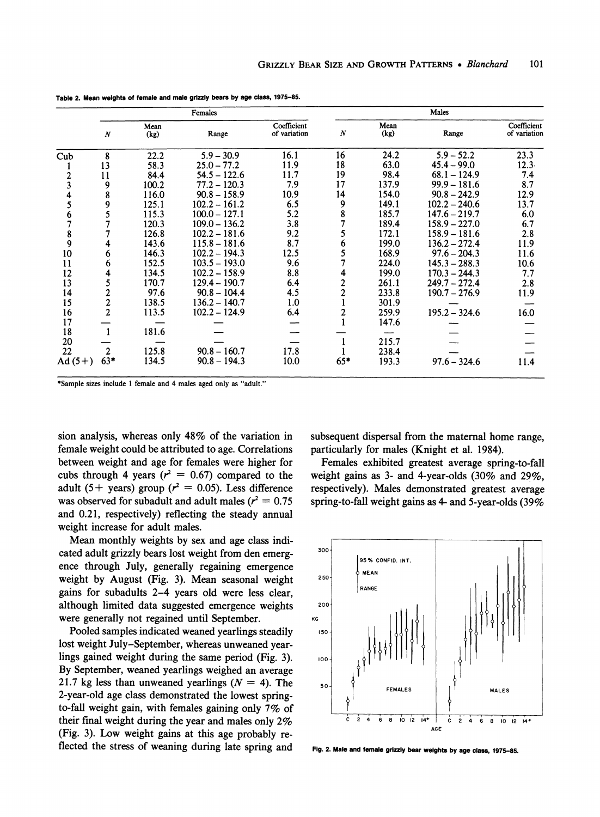|                |                  |              | Females         |                             |                  |              | Males           |                             |
|----------------|------------------|--------------|-----------------|-----------------------------|------------------|--------------|-----------------|-----------------------------|
|                | $\boldsymbol{N}$ | Mean<br>(kg) | Range           | Coefficient<br>of variation | $\boldsymbol{N}$ | Mean<br>(kg) | Range           | Coefficient<br>of variation |
| $\mathbf{Cub}$ | 8                | 22.2         | $5.9 - 30.9$    | 16.1                        | 16               | 24.2         | $5.9 - 52.2$    | 23.3                        |
|                | 13               | 58.3         | $25.0 - 77.2$   | 11.9                        | 18               | 63.0         | $45.4 - 99.0$   | $12.3 -$                    |
| $\overline{c}$ | 11               | 84.4         | $54.5 - 122.6$  | 11.7                        | 19               | 98.4         | $68.1 - 124.9$  | 7.4                         |
| 3              | 9                | 100.2        | $77.2 - 120.3$  | 7.9                         | 17               | 137.9        | $99.9 - 181.6$  | 8.7                         |
|                | 8                | 116.0        | $90.8 - 158.9$  | 10.9                        | 14               | 154.0        | $90.8 - 242.9$  | 12.9                        |
| 5              | 9                | 125.1        | $102.2 - 161.2$ | 6.5                         | 9                | 149.1        | $102.2 - 240.6$ | 13.7                        |
| 6              |                  | 115.3        | $100.0 - 127.1$ | 5.2                         |                  | 185.7        | 147.6 – 219.7   | 6.0                         |
|                |                  | 120.3        | $109.0 - 136.2$ | 3.8                         |                  | 189.4        | $158.9 - 227.0$ | 6.7                         |
| 8              |                  | 126.8        | $102.2 - 181.6$ | 9.2                         |                  | 172.1        | $158.9 - 181.6$ | 2.8                         |
| 9              |                  | 143.6        | $115.8 - 181.6$ | 8.7                         |                  | 199.0        | $136.2 - 272.4$ | 11.9                        |
| 10             | 6                | 146.3        | $102.2 - 194.3$ | 12.5                        |                  | 168.9        | $97.6 - 204.3$  | 11.6                        |
| 11             | 6                | 152.5        | $103.5 - 193.0$ | 9.6                         |                  | 224.0        | $145.3 - 288.3$ | 10.6                        |
| 12             | 4                | 134.5        | $102.2 - 158.9$ | 8.8                         |                  | 199.0        | $170.3 - 244.3$ | 7.7                         |
| 13             | 5                | 170.7        | $129.4 - 190.7$ | 6.4                         |                  | 261.1        | $249.7 - 272.4$ | 2.8                         |
| 14             | 2                | 97.6         | $90.8 - 104.4$  | 4.5                         |                  | 233.8        | $190.7 - 276.9$ | 11.9                        |
| 15             |                  | 138.5        | $136.2 - 140.7$ | 1.0                         |                  | 301.9        |                 |                             |
| 16             | $\frac{2}{2}$    | 113.5        | $102.2 - 124.9$ | 6.4                         |                  | 259.9        | $195.2 - 324.6$ | 16.0                        |
| 17             |                  |              |                 |                             |                  | 147.6        |                 |                             |
| 18             |                  | 181.6        |                 |                             |                  |              |                 |                             |
| 20             |                  |              |                 |                             |                  | 215.7        |                 |                             |
| 22             | 2                | 125.8        | $90.8 - 160.7$  | 17.8                        |                  | 238.4        |                 |                             |
| Ad $(5+)$      | $63*$            | 134.5        | $90.8 - 194.3$  | 10.0                        | $65*$            | 193.3        | $97.6 - 324.6$  | 11.4                        |

**Table 2. Mean weights of female and male grizzly bears by age class, 1975-85.** 

**\*Sample sizes include 1 female and 4 males aged only as "adult."** 

**sion analysis, whereas only 48% of the variation in female weight could be attributed to age. Correlations between weight and age for females were higher for**  cubs through 4 years  $(r^2 = 0.67)$  compared to the adult (5+ years) group ( $r^2 = 0.05$ ). Less difference was observed for subadult and adult males ( $r^2 = 0.75$ **and 0.21, respectively) reflecting the steady annual weight increase for adult males.** 

**Mean monthly weights by sex and age class indicated adult grizzly bears lost weight from den emergence through July, generally regaining emergence weight by August (Fig. 3). Mean seasonal weight gains for subadults 2-4 years old were less clear, although limited data suggested emergence weights were generally not regained until September.** 

**Pooled samples indicated weaned yearlings steadily lost weight July-September, whereas unweaned yearlings gained weight during the same period (Fig. 3). By September, weaned yearlings weighed an average**  21.7 kg less than unweaned yearlings  $(N = 4)$ . The **2-year-old age class demonstrated the lowest springto-fall weight gain, with females gaining only 7% of their final weight during the year and males only 2% (Fig. 3). Low weight gains at this age probably reflected the stress of weaning during late spring and**  **subsequent dispersal from the maternal home range, particularly for males (Knight et al. 1984).** 

**Females exhibited greatest average spring-to-fall weight gains as 3- and 4-year-olds (30% and 29%, respectively). Males demonstrated greatest average spring-to-fall weight gains as 4- and 5-year-olds (39%** 



**Fig. 2. Male and female grizzly bear weights by age class, 1975-85.**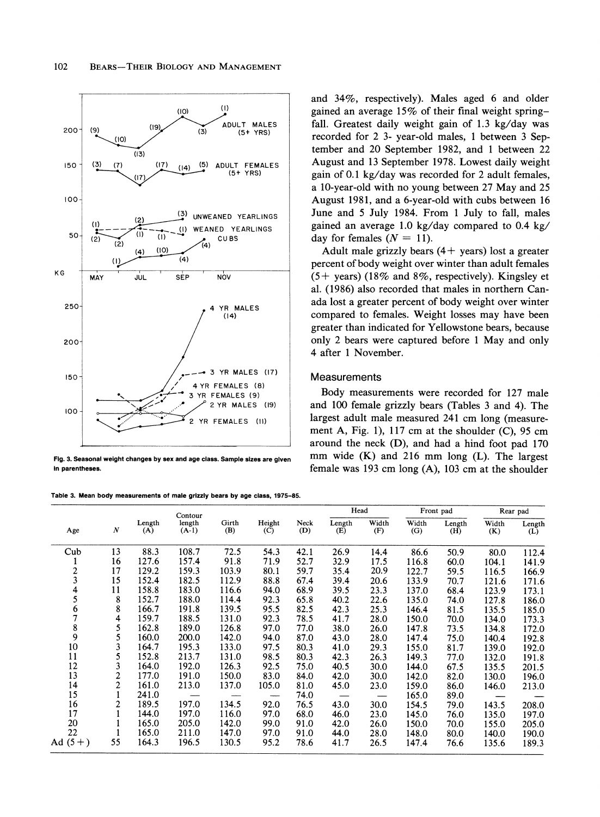

**Fig. 3. Seasonal weight changes by sex and age class. Sample sizes are given In parentheses.** 

**Table 3. Mean body measurements of male grizzly bears by age class, 1975-85.** 

**and 34%, respectively). Males aged 6 and older gained an average 15% of their final weight springfall. Greatest daily weight gain of 1.3 kg/day was recorded for 2 3- year-old males, 1 between 3 September and 20 September 1982, and 1 between 22 August and 13 September 1978. Lowest daily weight gain of 0.1 kg/day was recorded for 2 adult females, a 10-year-old with no young between 27 May and 25 August 1981, and a 6-year-old with cubs between 16 June and 5 July 1984. From 1 July to fall, males gained an average 1.0 kg/day compared to 0.4 kg/**  day for females  $(N = 11)$ .

**Adult male grizzly bears (4 + years) lost a greater percent of body weight over winter than adult females (5 + years) (18% and 8%, respectively). Kingsley et al. (1986) also recorded that males in northern Canada lost a greater percent of body weight over winter compared to females. Weight losses may have been greater than indicated for Yellowstone bears, because only 2 bears were captured before 1 May and only 4 after 1 November.** 

## **Measurements**

**Body measurements were recorded for 127 male and 100 female grizzly bears (Tables 3 and 4). The largest adult male measured 241 cm long (measurement A, Fig. 1), 117 cm at the shoulder (C), 95 cm around the neck (D), and had a hind foot pad 170 mm wide (K) and 216 mm long (L). The largest female was 193 cm long (A), 103 cm at the shoulder** 

|                         |                |               | Contour           |              |               |             | Head          |              |              | Front pad     | Rear pad     |               |
|-------------------------|----------------|---------------|-------------------|--------------|---------------|-------------|---------------|--------------|--------------|---------------|--------------|---------------|
| Age                     | $\cal N$       | Length<br>(A) | length<br>$(A-1)$ | Girth<br>(B) | Height<br>(C) | Neck<br>(D) | Length<br>(E) | Width<br>(F) | Width<br>(G) | Length<br>(H) | Width<br>(K) | Length<br>(L) |
| Cub                     | 13             | 88.3          | 108.7             | 72.5         | 54.3          | 42.1        | 26.9          | 14.4         | 86.6         | 50.9          | 80.0         | 112.4         |
|                         | 16             | 127.6         | 157.4             | 91.8         | 71.9          | 52.7        | 32.9          | 17.5         | 116.8        | 60.0          | 104.1        | 141.9         |
| $\overline{\mathbf{c}}$ | 17             | 129.2         | 159.3             | 103.9        | 80.1          | 59.7        | 35.4          | 20.9         | 122.7        | 59.5          | 116.5        | 166.9         |
| 3                       | 15             | 152.4         | 182.5             | 112.9        | 88.8          | 67.4        | 39.4          | 20.6         | 133.9        | 70.7          | 121.6        | 171.6         |
| 4                       | 11             | 158.8         | 183.0             | 116.6        | 94.0          | 68.9        | 39.5          | 23.3         | 137.0        | 68.4          | 123.9        | 173.1         |
| 5                       | 8              | 152.7         | 188.0             | 114.4        | 92.3          | 65.8        | 40.2          | 22.6         | 135.0        | 74.0          | 127.8        | 186.0         |
| 6                       | 8              | 166.7         | 191.8             | 139.5        | 95.5          | 82.5        | 42.3          | 25.3         | 146.4        | 81.5          | 135.5        | 185.0         |
| 7                       | 4              | 159.7         | 188.5             | 131.0        | 92.3          | 78.5        | 41.7          | 28.0         | 150.0        | 70.0          | 134.0        | 173.3         |
| $\frac{8}{9}$           | 5              | 162.8         | 189.0             | 126.8        | 97.0          | 77.0        | 38.0          | 26.0         | 147.8        | 73.5          | 134.8        | 172.0         |
|                         | 5              | 160.0         | 200.0             | 142.0        | 94.0          | 87.0        | 43.0          | 28.0         | 147.4        | 75.0          | 140.4        | 192.8         |
| 10                      | 3              | 164.7         | 195.3             | 133.0        | 97.5          | 80.3        | 41.0          | 29.3         | 155.0        | 81.7          | 139.0        | 192.0         |
| 11                      | 5              | 152.8         | 213.7             | 131.0        | 98.5          | 80.3        | 42.3          | 26.3         | 149.3        | 77.0          | 132.0        | 191.8         |
| 12                      | 3              | 164.0         | 192.0             | 126.3        | 92.5          | 75.0        | 40.5          | 30.0         | 144.0        | 67.5          | 135.5        | 201.5         |
| 13                      | $\overline{c}$ | 177.0         | 191.0             | 150.0        | 83.0          | 84.0        | 42.0          | 30.0         | 142.0        | 82.0          | 130.0        | 196.0         |
| 14                      | $\overline{c}$ | 161.0         | 213.0             | 137.0        | 105.0         | 81.0        | 45.0          | 23.0         | 159.0        | 86.0          | 146.0        | 213.0         |
| 15                      |                | 241.0         |                   |              |               | 74.0        |               |              | 165.0        | 89.0          | ---          |               |
| 16                      | 2              | 189.5         | 197.0             | 134.5        | 92.0          | 76.5        | 43.0          | 30.0         | 154.5        | 79.0          | 143.5        | 208.0         |
| 17                      |                | 144.0         | 197.0             | 116.0        | 97.0          | 68.0        | 46.0          | 23.0         | 145.0        | 76.0          | 135.0        | 197.0         |
| 20                      |                | 165.0         | 205.0             | 142.0        | 99.0          | 91.0        | 42.0          | 26.0         | 150.0        | 70.0          | 155.0        | 205.0         |
| 22                      |                | 165.0         | 211.0             | 147.0        | 97.0          | 91.0        | 44.0          | 28.0         | 148.0        | 80.0          | 140.0        | 190.0         |
| Ad $(5+)$               | 55             | 164.3         | 196.5             | 130.5        | 95.2          | 78.6        | 41.7          | 26.5         | 147.4        | 76.6          | 135.6        | 189.3         |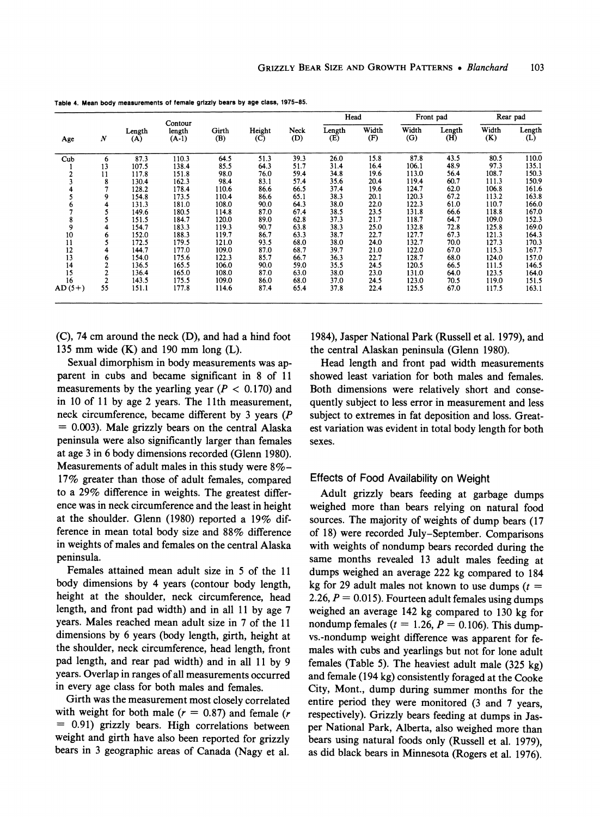| Age      |                  |               |                              |              |                         |             | Head          |              |              | Front pad     |              | Rear pad      |
|----------|------------------|---------------|------------------------------|--------------|-------------------------|-------------|---------------|--------------|--------------|---------------|--------------|---------------|
|          | $\boldsymbol{N}$ | Length<br>(A) | Contour<br>length<br>$(A-1)$ | Girth<br>(B) | Height<br>$\mathcal{C}$ | Neck<br>(D) | Length<br>(E) | Width<br>(F) | Width<br>(G) | Length<br>(H) | Width<br>(K) | Length<br>(L) |
| Cub      | 6                | 87.3          | 110.3                        | 64.5         | 51.3                    | 39.3        | 26.0          | 15.8         | 87.8         | 43.5          | 80.5         | 110.0         |
|          | 13               | 107.5         | 138.4                        | 85.5         | 64.3                    | 51.7        | 31.4          | 16.4         | 106.1        | 48.9          | 97.3         | 135.1         |
|          | 11               | 117.8         | 151.8                        | 98.0         | 76.0                    | 59.4        | 34.8          | 19.6         | 113.0        | 56.4          | 108.7        | 150.3         |
|          | 8                | 130.4         | 162.3                        | 98.4         | 83.1                    | 57.4        | 35.6          | 20.4         | 119.4        | 60.7          | 111.3        | 150.9         |
|          |                  | 128.2         | 178.4                        | 110.6        | 86.6                    | 66.5        | 37.4          | 19.6         | 124.7        | 62.0          | 106.8        | 161.6         |
|          | 9                | 154.8         | 173.5                        | 110.4        | 86.6                    | 65.1        | 38.3          | 20.1         | 120.3        | 67.2          | 113.2        | 163.8         |
| o        | 4                | 131.3         | 181.0                        | 108.0        | 90.0                    | 64.3        | 38.0          | 22.0         | 122.3        | 61.0          | 110.7        | 166.0         |
|          |                  | 149.6         | 180.5                        | 114.8        | 87.0                    | 67.4        | 38.5          | 23.5         | 131.8        | 66.6          | 118.8        | 167.0         |
| 8        |                  | 151.5         | 184.7                        | 120.0        | 89.0                    | 62.8        | 37.3          | 21.7         | 118.7        | 64.7          | 109.0        | 152.3         |
| 9        |                  | 154.7         | 183.3                        | 119.3        | 90.7                    | 63.8        | 38.3          | 25.0         | 132.8        | 72.8          | 125.8        | 169.0         |
| 10       | 6                | 152.0         | 188.3                        | 119.7        | 86.7                    | 63.3        | 38.7          | 22.7         | 127.7        | 67.3          | 121.3        | 164.3         |
| 11       |                  | 172.5         | 179.5                        | 121.0        | 93.5                    | 68.0        | 38.0          | 24.0         | 132.7        | 70.0          | 127.3        | 170.3         |
| 12       | 4                | 144.7         | 177.0                        | 109.0        | 87.0                    | 68.7        | 39.7          | 21.0         | 122.0        | 67.0          | 115.3        | 167.7         |
| 13       | 6                | 154.0         | 175.6                        | 122.3        | 85.7                    | 66.7        | 36.3          | 22.7         | 128.7        | 68.0          | 124.0        | 157.0         |
| 14       | $\overline{2}$   | 136.5         | 165.5                        | 106.0        | 90.0                    | 59.0        | 35.5          | 24.5         | 120.5        | 66.5          | 111.5        | 146.5         |
| 15       |                  | 136.4         | 165.0                        | 108.0        | 87.0                    | 63.0        | 38.0          | 23.0         | 131.0        | 64.0          | 123.5        | 164.0         |
| 16       | $\overline{2}$   | 143.5         | 175.5                        | 109.0        | 86.0                    | 68.0        | 37.0          | 24.5         | 123.0        | 70.5          | 119.0        | 151.5         |
| $AD(5+)$ | 55               | 151.1         | 177.8                        | 114.6        | 87.4                    | 65.4        | 37.8          | 22.4         | 125.5        | 67.0          | 117.5        | 163.1         |

**Table 4. Mean body measurements of female grizzly bears by age class, 1975-85.** 

**(C), 74 cm around the neck (D), and had a hind foot 135 mm wide (K) and 190 mm long (L).** 

**Sexual dimorphism in body measurements was apparent in cubs and became significant in 8 of 11**  measurements by the yearling year  $(P < 0.170)$  and **in 10 of 11 by age 2 years. The 11th measurement, neck circumference, became different by 3 years (P = 0.003). Male grizzly bears on the central Alaska peninsula were also significantly larger than females at age 3 in 6 body dimensions recorded (Glenn 1980). Measurements of adult males in this study were 8%- 17% greater than those of adult females, compared to a 29% difference in weights. The greatest difference was in neck circumference and the least in height at the shoulder. Glenn (1980) reported a 19% difference in mean total body size and 88% difference in weights of males and females on the central Alaska peninsula.** 

**Females attained mean adult size in 5 of the 11 body dimensions by 4 years (contour body length, height at the shoulder, neck circumference, head length, and front pad width) and in all 11 by age 7 years. Males reached mean adult size in 7 of the 11 dimensions by 6 years (body length, girth, height at the shoulder, neck circumference, head length, front pad length, and rear pad width) and in all 11 by 9 years. Overlap in ranges of all measurements occurred in every age class for both males and females.** 

**Girth was the measurement most closely correlated**  with weight for both male  $(r = 0.87)$  and female  $(r)$ **= 0.91) grizzly bears. High correlations between weight and girth have also been reported for grizzly bears in 3 geographic areas of Canada (Nagy et al.** 

**1984), Jasper National Park (Russell et al. 1979), and the central Alaskan peninsula (Glenn 1980).** 

**Head length and front pad width measurements showed least variation for both males and females. Both dimensions were relatively short and consequently subject to less error in measurement and less subject to extremes in fat deposition and loss. Greatest variation was evident in total body length for both sexes.** 

# **Effects of Food Availability on Weight**

**Adult grizzly bears feeding at garbage dumps weighed more than bears relying on natural food sources. The majority of weights of dump bears (17 of 18) were recorded July-September. Comparisons with weights of nondump bears recorded during the same months revealed 13 adult males feeding at dumps weighed an average 222 kg compared to 184**  kg for 29 adult males not known to use dumps ( $t =$ **2.26, P = 0.015). Fourteen adult females using dumps weighed an average 142 kg compared to 130 kg for**  nondump females ( $t = 1.26$ ,  $P = 0.106$ ). This dump**vs.-nondump weight difference was apparent for females with cubs and yearlings but not for lone adult females (Table 5). The heaviest adult male (325 kg) and female (194 kg) consistently foraged at the Cooke City, Mont., dump during summer months for the entire period they were monitored (3 and 7 years, respectively). Grizzly bears feeding at dumps in Jasper National Park, Alberta, also weighed more than bears using natural foods only (Russell et al. 1979), as did black bears in Minnesota (Rogers et al. 1976).**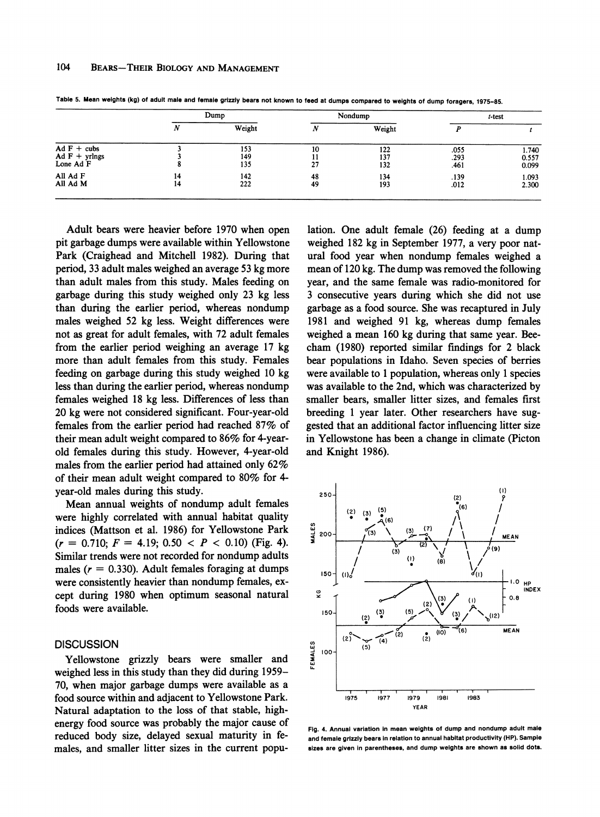|                                                | Dump     |                   |          | Nondump           | $t$ -test            |                         |
|------------------------------------------------|----------|-------------------|----------|-------------------|----------------------|-------------------------|
|                                                | ΙV       | Weight            | N        | Weight            |                      |                         |
| $Ad F + cubs$<br>$Ad F + yr lngs$<br>Lone Ad F |          | 153<br>149<br>135 | 10<br>27 | 122<br>137<br>132 | .055<br>.293<br>.461 | 1.740<br>0.557<br>0.099 |
| All Ad F<br>All Ad M                           | 14<br>14 | 142<br>222        | 48<br>49 | 134<br>193        | .139<br>.012         | 1.093<br>2.300          |

**Table 5. Mean welghts (kg) of adult male and female grizzly bears not known to feed at dumps compared to weights of dump foragers, 1975-85.** 

**Adult bears were heavier before 1970 when open pit garbage dumps were available within Yellowstone Park (Craighead and Mitchell 1982). During that period, 33 adult males weighed an average 53 kg more than adult males from this study. Males feeding on garbage during this study weighed only 23 kg less than during the earlier period, whereas nondump males weighed 52 kg less. Weight differences were not as great for adult females, with 72 adult females from the earlier period weighing an average 17 kg more than adult females from this study. Females feeding on garbage during this study weighed 10 kg less than during the earlier period, whereas nondump females weighed 18 kg less. Differences of less than 20 kg were not considered significant. Four-year-old females from the earlier period had reached 87% of their mean adult weight compared to 86% for 4-yearold females during this study. However, 4-year-old males from the earlier period had attained only 62% of their mean adult weight compared to 80% for 4 year-old males during this study.** 

**Mean annual weights of nondump adult females were highly correlated with annual habitat quality indices (Mattson et al. 1986) for Yellowstone Park**   $(r = 0.710; F = 4.19; 0.50 < P < 0.10$  (Fig. 4). **Similar trends were not recorded for nondump adults**  males  $(r = 0.330)$ . Adult females foraging at dumps **were consistently heavier than nondump females, except during 1980 when optimum seasonal natural foods were available.** 

#### **DISCUSSION**

**Yellowstone grizzly bears were smaller and weighed less in this study than they did during 1959- 70, when major garbage dumps were available as a food source within and adjacent to Yellowstone Park. Natural adaptation to the loss of that stable, highenergy food source was probably the major cause of reduced body size, delayed sexual maturity in females, and smaller litter sizes in the current popu-**

**lation. One adult female (26) feeding at a dump weighed 182 kg in September 1977, a very poor natural food year when nondump females weighed a mean of 120 kg. The dump was removed the following year, and the same female was radio-monitored for 3 consecutive years during which she did not use garbage as a food source. She was recaptured in July 1981 and weighed 91 kg, whereas dump females weighed a mean 160 kg during that same year. Beecham (1980) reported similar findings for 2 black bear populations in Idaho. Seven species of berries were available to 1 population, whereas only 1 species was available to the 2nd, which was characterized by smaller bears, smaller litter sizes, and females first breeding 1 year later. Other researchers have suggested that an additional factor influencing litter size in Yellowstone has been a change in climate (Picton and Knight 1986).** 



Fig. 4. Annual variation in mean weights of dump and nondump adult male **and female grizzly bears in relation to annual habitat productivity (HP). Sample**  sizes are given in parentheses, and dump weights are shown as solid dots.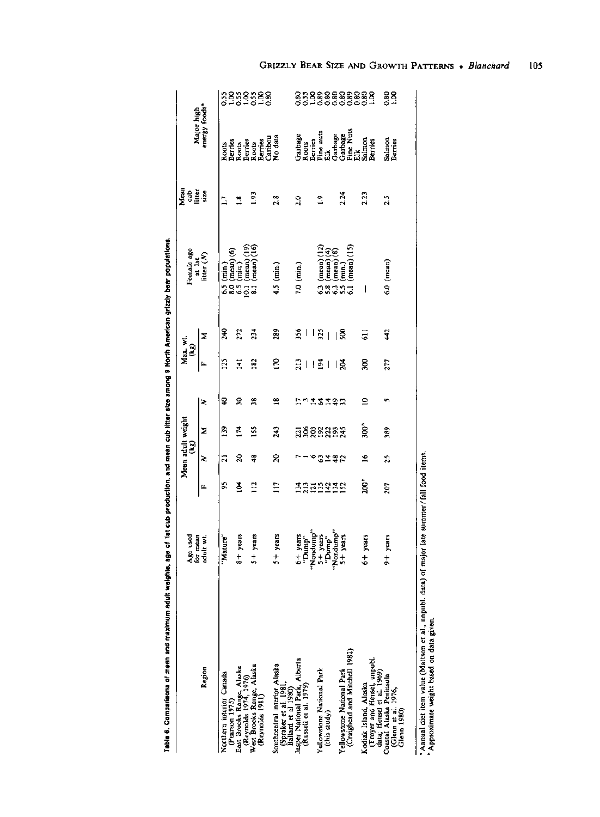<sup>&</sup>quot;Annual det item value (Mattson et al., unpubl. data) of major late summer/fall food items.<br>"Approximate weight based on data given.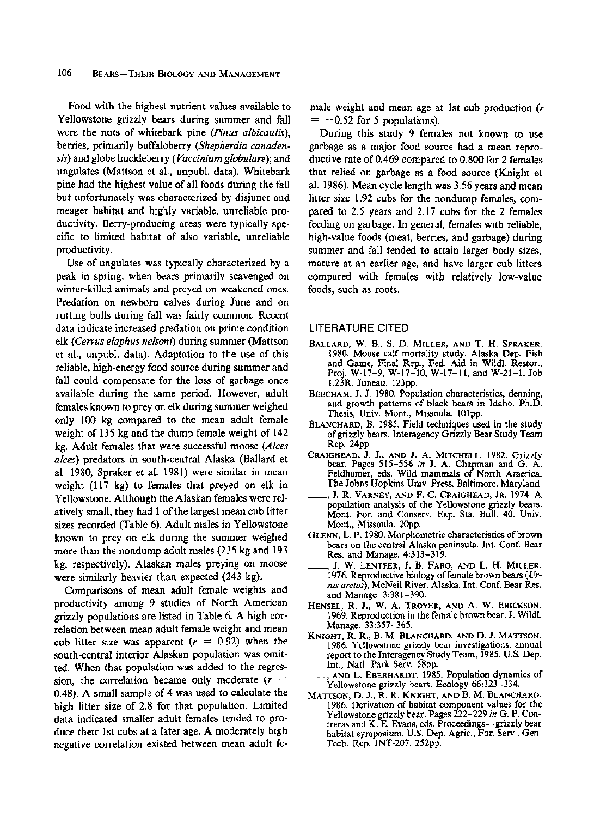**Food with the highest nutrient values available to Yellowstone grizzly bears during summer and fall were the nuts of whitebark pine (Pinus albicaulis); berries, primarily buffaloberry (Shepherdia canadensis) and globe huckleberry (Vaccinium globulare); and ungulates (Mattson et al., unpubl. data). Whitebark pine had the highest value of all foods during the fall but unfortunately was characterized by disjunct and meager habitat and highly variable, unreliable productivity. Berry-producing areas were typically specific to limited habitat of also variable, unreliable productivity.** 

**Use of ungulates was typically characterized by a peak in spring, when bears primarily scavenged on winter-killed animals and preyed on weakened ones. Predation on newborn calves during June and on rutting bulls during fall was fairly common. Recent data indicate increased predation on prime condition elk (Cervus elaphus nelsoni) during summer (Mattson et al., unpubl. data). Adaptation to the use of this reliable, high-energy food source during summer and fall could compensate for the loss of garbage once available during the same period. However, adult females known to prey on elk during summer weighed only 100 kg compared to the mean adult female weight of 135 kg and the dump female weight of 142 kg. Adult females that were successful moose (Alces alces) predators in south-central Alaska (Ballard et al. 1980, Spraker et al. 1981) were similar in mean weight (117 kg) to females that preyed on elk in Yellowstone. Although the Alaskan females were relatively small, they had 1 of the largest mean cub litter sizes recorded (Table 6). Adult males in Yellowstone known to prey on elk during the summer weighed more than the nondump adult males (235 kg and 193 kg, respectively). Alaskan males preying on moose were similarly heavier than expected (243 kg).** 

**Comparisons of mean adult female weights and productivity among 9 studies of North American grizzly populations are listed in Table 6. A high correlation between mean adult female weight and mean**  cub litter size was apparent  $(r = 0.92)$  when the **south-central interior Alaskan population was omitted. When that population was added to the regression, the correlation became only moderate (r <sup>=</sup> 0.48). A small sample of 4 was used to calculate the high litter size of 2.8 for that population. Limited data indicated smaller adult females tended to produce their 1st cubs at a later age. A moderately high negative correlation existed between mean adult fe-** **male weight and mean age at 1st cub production (r**   $= -0.52$  for 5 populations).

**During this study 9 females not known to use garbage as a major food source had a mean reproductive rate of 0.469 compared to 0.800 for 2 females that relied on garbage as a food source (Knight et al. 1986). Mean cycle length was 3.56 years and mean litter size 1.92 cubs for the nondump females, compared to 2.5 years and 2.17 cubs for the 2 females feeding on garbage. In general, females with reliable, high-value foods (meat, berries, and garbage) during summer and fall tended to attain larger body sizes, mature at an earlier age, and have larger cub litters compared with females with relatively low-value foods, such as roots.** 

### **LITERATURE CITED**

- **BALLARD, W. B., S. D. MILLER, AND T. H. SPRAKER. 1980. Moose calf mortality study. Alaska Dep. Fish and Game, Final Rep., Fed. Aid in Wildl. Restor., Proj. W-17-9, W-17-10, W-17-11, and W-21-1. Job 1.23R. Juneau. 123pp.**
- **BEECHAM. J. J. 1980. Population characteristics, denning, and growth patterns of black bears in Idaho. Ph.D. Thesis, Univ. Mont., Missoula. 101pp.**
- **BLANCHARD, B. 1985. Field techniques used in the study of grizzly bears. Interagency Grizzly Bear Study Team Rep. 24pp.**
- **CRAIGHEAD, J. J., AND J. A. MITCHELL. 1982. Grizzly bear. Pages 515-556 in J. A. Chapman and G. A. Feldhamer, eds. Wild mammals of North America. The Johns Hopkins Univ. Press, Baltimore, Maryland.**
- **, J. R. VARNEY, AND F. C. CRAIGHEAD, JR. 1974. A population analysis of the Yellowstone grizzly bears. Mont. For. and Conserv. Exp. Sta. Bull. 40. Univ. Mont., Missoula. 20pp.**
- **GLENN, L. P. 1980. Morphometric characteristics of brown bears on the central Alaska peninsula. Int. Conf. Bear Res. and Manage. 4:313-319.**
- **\_, J. W. LENTFER, J. B. FARO, AND L. H. MILLER. 1976. Reproductive biology of female brown bears (Ursus arctos), McNeil River, Alaska. Int. Conf. Bear Res. and Manage. 3:381-390.**
- **HENSEL, R. J., W. A. TROYER, AND A. W. ERICKSON. 1969. Reproduction in the female brown bear. J. Wildl. Manage. 33:357-365.**
- **KNIGHT, R. R., B. M. BLANCHARD, AND D. J. MATTSON. 1986. Yellowstone grizzly bear investigations: annual report to the Interagency Study Team, 1985. U.S. Dep. Int., Natl. Park Serv. 58pp.**
- **., AND L. EBERHARDT. 1985. Population dynamics of Yellowstone grizzly bears. Ecology 66:323-334.**
- **MATTSON, D. J., R. R. KNIGHT, AND B. M. BLANCHARD. 1986. Derivation of habitat component values for the Yellowstone grizzly bear. Pages 222-229 in G. P. Contreras and K. E. Evans, eds. Proceedings-grizzly bear habitat symposium. U.S. Dep. Agric., For. Serv., Gen. Tech. Rep. INT-207. 252pp.**